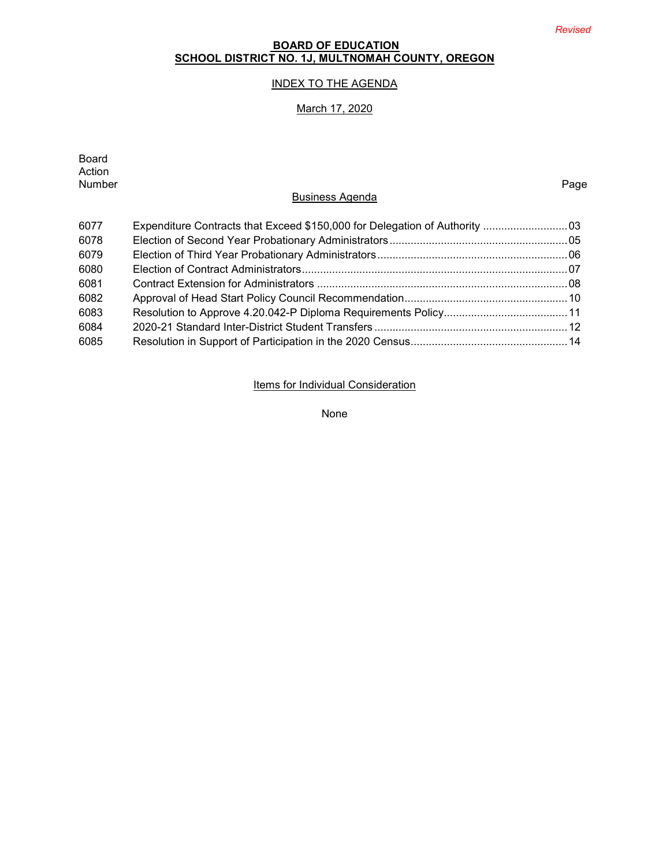# **BOARD OF EDUCATION SCHOOL DISTRICT NO. 1J, MULTNOMAH COUNTY, OREGON**

# INDEX TO THE AGENDA

# March 17, 2020

| <b>Board</b><br>Action |                                                                             |      |
|------------------------|-----------------------------------------------------------------------------|------|
| Number                 |                                                                             | Page |
|                        | <b>Business Agenda</b>                                                      |      |
| 6077                   | Expenditure Contracts that Exceed \$150,000 for Delegation of Authority  03 |      |
| 6078                   |                                                                             |      |
| 6079                   |                                                                             |      |
| 6080                   |                                                                             |      |
| 6081                   |                                                                             |      |
| 6082                   |                                                                             |      |
| 6083                   |                                                                             |      |
| 6084                   |                                                                             |      |
| 6085                   |                                                                             |      |

Items for Individual Consideration

None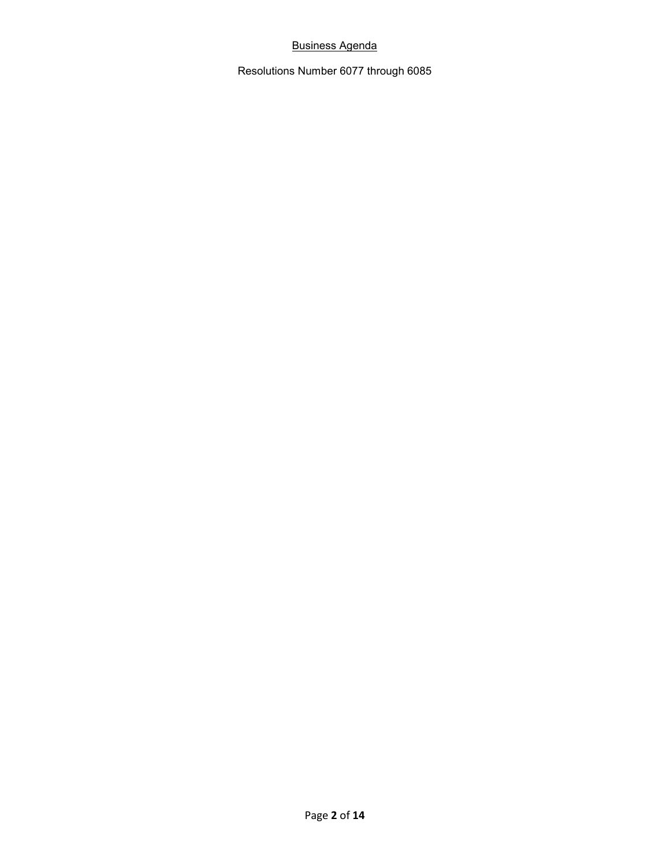# Business Agenda

Resolutions Number 6077 through 6085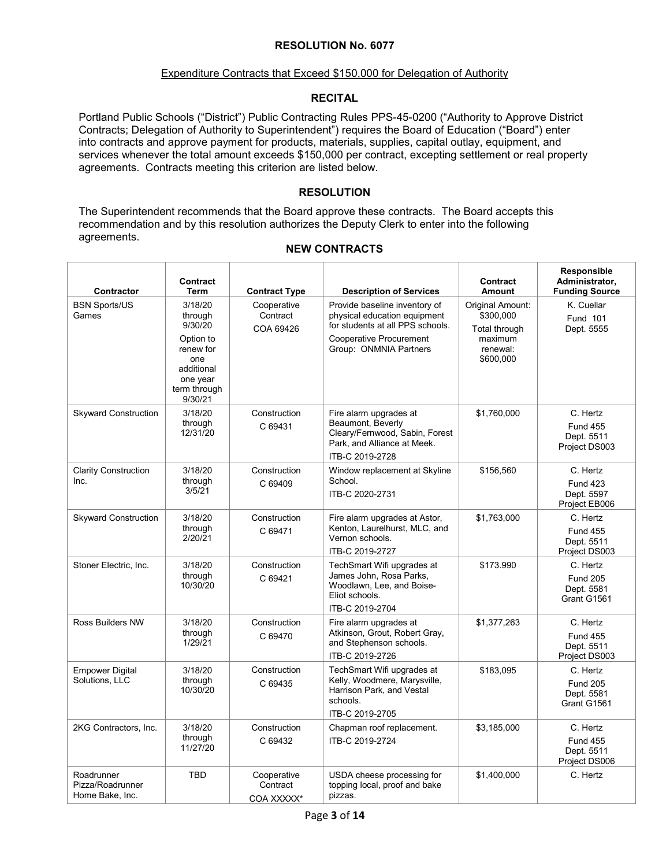#### Expenditure Contracts that Exceed \$150,000 for Delegation of Authority

# **RECITAL**

Portland Public Schools ("District") Public Contracting Rules PPS-45-0200 ("Authority to Approve District Contracts; Delegation of Authority to Superintendent") requires the Board of Education ("Board") enter into contracts and approve payment for products, materials, supplies, capital outlay, equipment, and services whenever the total amount exceeds \$150,000 per contract, excepting settlement or real property agreements. Contracts meeting this criterion are listed below.

## **RESOLUTION**

The Superintendent recommends that the Board approve these contracts. The Board accepts this recommendation and by this resolution authorizes the Deputy Clerk to enter into the following agreements.

| Contractor                                        | <b>Contract</b><br><b>Term</b>                                                                                      | <b>Contract Type</b>                  | <b>Description of Services</b>                                                                                                                                | Contract<br><b>Amount</b>                                                                 | Responsible<br>Administrator,<br><b>Funding Source</b>     |
|---------------------------------------------------|---------------------------------------------------------------------------------------------------------------------|---------------------------------------|---------------------------------------------------------------------------------------------------------------------------------------------------------------|-------------------------------------------------------------------------------------------|------------------------------------------------------------|
| <b>BSN Sports/US</b><br>Games                     | 3/18/20<br>through<br>9/30/20<br>Option to<br>renew for<br>one<br>additional<br>one year<br>term through<br>9/30/21 | Cooperative<br>Contract<br>COA 69426  | Provide baseline inventory of<br>physical education equipment<br>for students at all PPS schools.<br><b>Cooperative Procurement</b><br>Group: ONMNIA Partners | <b>Original Amount:</b><br>\$300,000<br>Total through<br>maximum<br>renewal:<br>\$600,000 | K. Cuellar<br><b>Fund 101</b><br>Dept. 5555                |
| <b>Skyward Construction</b>                       | 3/18/20<br>through<br>12/31/20                                                                                      | Construction<br>C 69431               | Fire alarm upgrades at<br>Beaumont, Beverly<br>Cleary/Fernwood, Sabin, Forest<br>Park, and Alliance at Meek.<br>ITB-C 2019-2728                               | \$1,760,000                                                                               | C. Hertz<br><b>Fund 455</b><br>Dept. 5511<br>Project DS003 |
| <b>Clarity Construction</b><br>Inc.               | 3/18/20<br>through<br>3/5/21                                                                                        | Construction<br>C 69409               | Window replacement at Skyline<br>School.<br>ITB-C 2020-2731                                                                                                   | \$156.560                                                                                 | C. Hertz<br><b>Fund 423</b><br>Dept. 5597<br>Project EB006 |
| <b>Skyward Construction</b>                       | 3/18/20<br>through<br>2/20/21                                                                                       | Construction<br>C 69471               | Fire alarm upgrades at Astor,<br>Kenton, Laurelhurst, MLC, and<br>Vernon schools.<br>ITB-C 2019-2727                                                          | \$1,763,000                                                                               | C. Hertz<br><b>Fund 455</b><br>Dept. 5511<br>Project DS003 |
| Stoner Electric, Inc.                             | 3/18/20<br>through<br>10/30/20                                                                                      | Construction<br>C 69421               | TechSmart Wifi upgrades at<br>James John, Rosa Parks,<br>Woodlawn, Lee, and Boise-<br>Eliot schools.<br>ITB-C 2019-2704                                       | \$173.990                                                                                 | C. Hertz<br><b>Fund 205</b><br>Dept. 5581<br>Grant G1561   |
| <b>Ross Builders NW</b>                           | 3/18/20<br>through<br>1/29/21                                                                                       | Construction<br>C 69470               | Fire alarm upgrades at<br>Atkinson, Grout, Robert Gray,<br>and Stephenson schools.<br>ITB-C 2019-2726                                                         | \$1,377,263                                                                               | C. Hertz<br><b>Fund 455</b><br>Dept. 5511<br>Project DS003 |
| <b>Empower Digital</b><br>Solutions, LLC          | 3/18/20<br>through<br>10/30/20                                                                                      | Construction<br>C 69435               | TechSmart Wifi upgrades at<br>Kelly, Woodmere, Marysville,<br>Harrison Park, and Vestal<br>schools.<br>ITB-C 2019-2705                                        | \$183.095                                                                                 | C. Hertz<br><b>Fund 205</b><br>Dept. 5581<br>Grant G1561   |
| 2KG Contractors, Inc.                             | 3/18/20<br>through<br>11/27/20                                                                                      | Construction<br>C 69432               | Chapman roof replacement.<br>ITB-C 2019-2724                                                                                                                  | \$3,185,000                                                                               | C. Hertz<br><b>Fund 455</b><br>Dept. 5511<br>Project DS006 |
| Roadrunner<br>Pizza/Roadrunner<br>Home Bake, Inc. | <b>TBD</b>                                                                                                          | Cooperative<br>Contract<br>COA XXXXX* | USDA cheese processing for<br>topping local, proof and bake<br>pizzas.                                                                                        | \$1,400,000                                                                               | C. Hertz                                                   |

# **NEW CONTRACTS**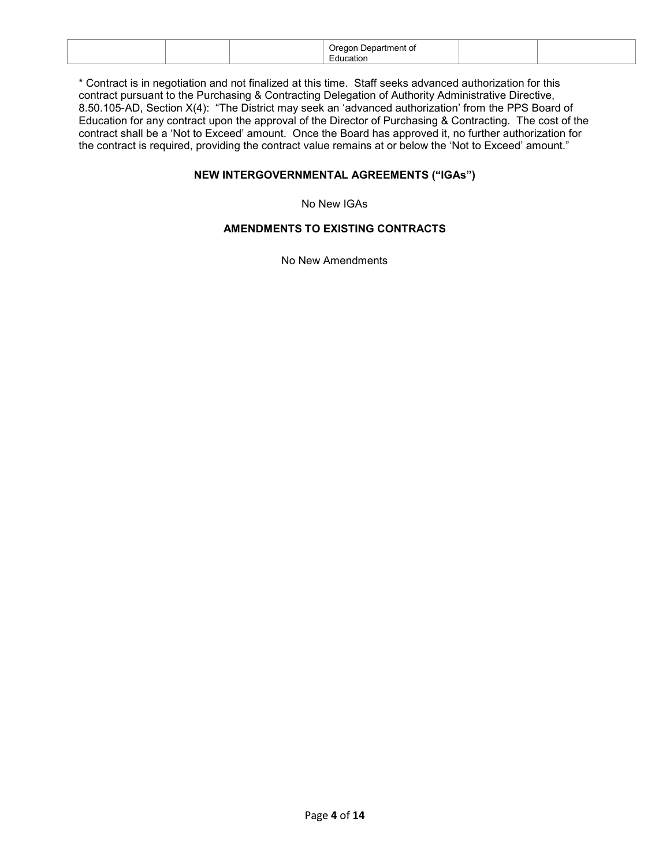|  | 98 H.<br>$\sim$<br>. .<br>ш |  |
|--|-----------------------------|--|
|  |                             |  |

\* Contract is in negotiation and not finalized at this time. Staff seeks advanced authorization for this contract pursuant to the Purchasing & Contracting Delegation of Authority Administrative Directive, 8.50.105-AD, Section X(4): "The District may seek an 'advanced authorization' from the PPS Board of Education for any contract upon the approval of the Director of Purchasing & Contracting. The cost of the contract shall be a 'Not to Exceed' amount. Once the Board has approved it, no further authorization for the contract is required, providing the contract value remains at or below the 'Not to Exceed' amount."

# **NEW INTERGOVERNMENTAL AGREEMENTS ("IGAs")**

No New IGAs

# **AMENDMENTS TO EXISTING CONTRACTS**

No New Amendments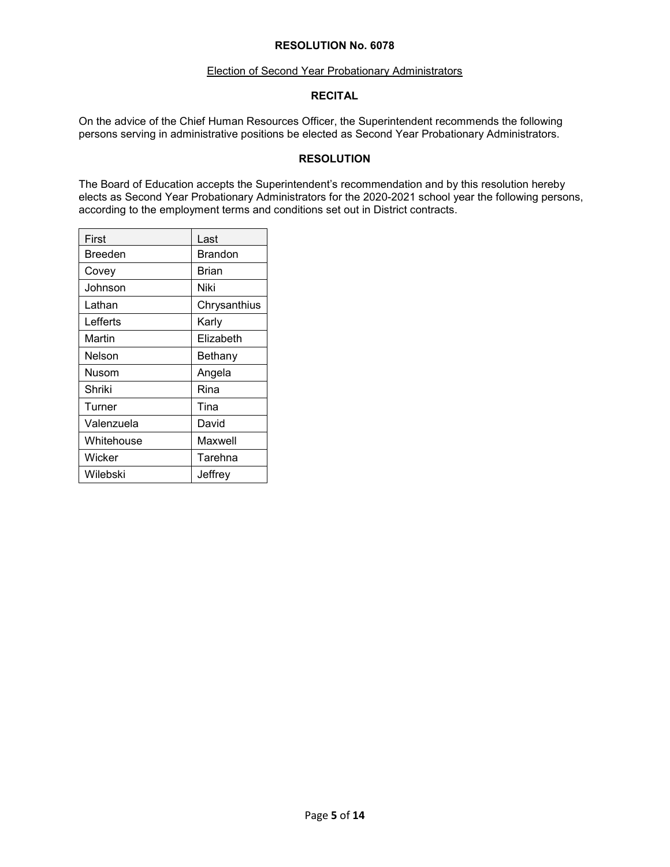#### Election of Second Year Probationary Administrators

### **RECITAL**

On the advice of the Chief Human Resources Officer, the Superintendent recommends the following persons serving in administrative positions be elected as Second Year Probationary Administrators.

### **RESOLUTION**

The Board of Education accepts the Superintendent's recommendation and by this resolution hereby elects as Second Year Probationary Administrators for the 2020-2021 school year the following persons, according to the employment terms and conditions set out in District contracts.

| First      | Last           |
|------------|----------------|
| Breeden    | <b>Brandon</b> |
| Covey      | Brian          |
| Johnson    | Niki           |
| Lathan     | Chrysanthius   |
| Lefferts   | Karlv          |
| Martin     | Elizabeth      |
| Nelson     | Bethany        |
| Nusom      | Angela         |
| Shriki     | Rina           |
| Turner     | Tina           |
| Valenzuela | David          |
| Whitehouse | Maxwell        |
| Wicker     | Tarehna        |
| Wilebski   | Jeffrey        |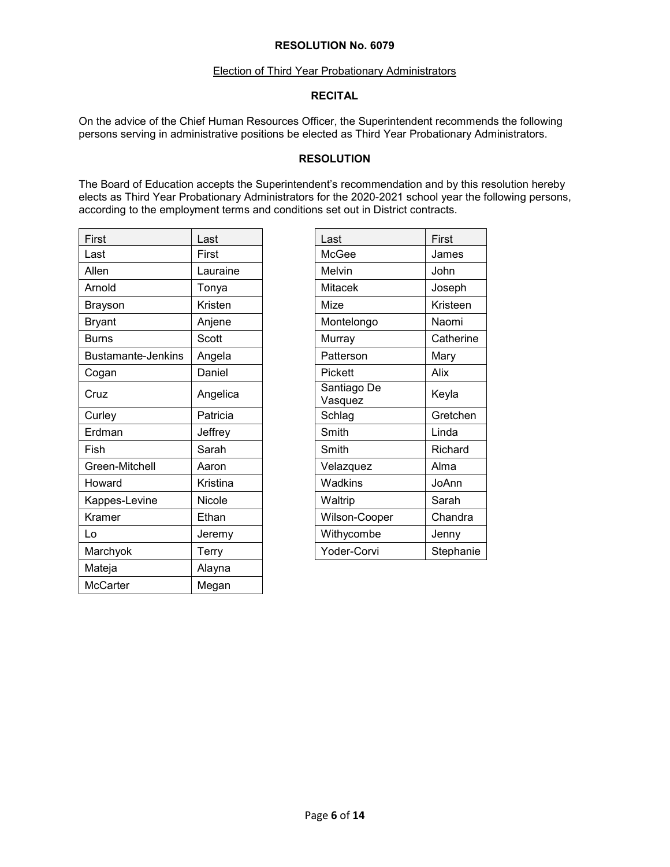#### Election of Third Year Probationary Administrators

### **RECITAL**

On the advice of the Chief Human Resources Officer, the Superintendent recommends the following persons serving in administrative positions be elected as Third Year Probationary Administrators.

### **RESOLUTION**

The Board of Education accepts the Superintendent's recommendation and by this resolution hereby elects as Third Year Probationary Administrators for the 2020-2021 school year the following persons, according to the employment terms and conditions set out in District contracts.

| First                     | Last     | Last                   | First     |
|---------------------------|----------|------------------------|-----------|
| Last                      | First    | McGee                  | James     |
| Allen                     | Lauraine | Melvin                 | John      |
| Arnold                    | Tonya    | <b>Mitacek</b>         | Joseph    |
| <b>Brayson</b>            | Kristen  | Mize                   | Kristeen  |
| <b>Bryant</b>             | Anjene   | Montelongo             | Naomi     |
| <b>Burns</b>              | Scott    | Murray                 | Catherine |
| <b>Bustamante-Jenkins</b> | Angela   | Patterson              | Mary      |
| Cogan                     | Daniel   | Pickett                | Alix      |
| Cruz                      | Angelica | Santiago De<br>Vasquez | Keyla     |
| Curley                    | Patricia | Schlag                 | Gretchen  |
| Erdman                    | Jeffrey  | Smith                  | Linda     |
| Fish                      | Sarah    | Smith                  | Richard   |
| Green-Mitchell            | Aaron    | Velazquez              | Alma      |
| Howard                    | Kristina | <b>Wadkins</b>         | JoAnn     |
| Kappes-Levine             | Nicole   | Waltrip                | Sarah     |
| Kramer                    | Ethan    | Wilson-Cooper          | Chandra   |
| Lo                        | Jeremy   | Withycombe             | Jenny     |
| Marchyok                  | Terry    | Yoder-Corvi            | Stephanie |
| Mateja                    | Alayna   |                        |           |
| McCarter                  | Megan    |                        |           |

| Last                   | First     |
|------------------------|-----------|
| McGee                  | James     |
| Melvin                 | John      |
| Mitacek                | Joseph    |
| Mize                   | Kristeen  |
| Montelongo             | Naomi     |
| Murray                 | Catherine |
| Patterson              | Mary      |
| Pickett                | Alix      |
| Santiago De<br>Vasquez | Keyla     |
| Schlag                 | Gretchen  |
| Smith                  | Linda     |
| Smith                  | Richard   |
| Velazquez              | Alma      |
| Wadkins                | JoAnn     |
| Waltrip                | Sarah     |
| Wilson-Cooper          | Chandra   |
| Withycombe             | Jenny     |
| Yoder-Corvi            | Stephanie |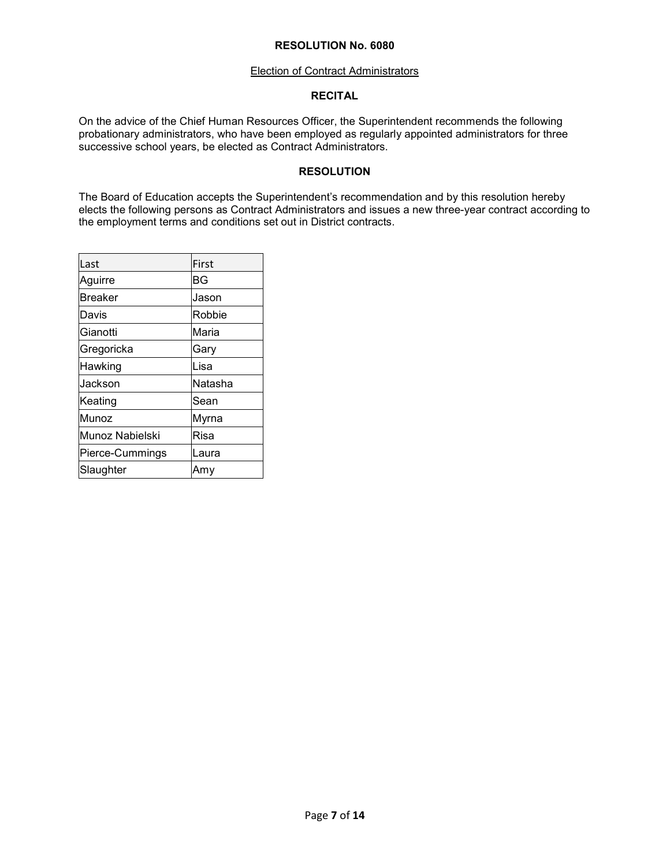#### Election of Contract Administrators

### **RECITAL**

On the advice of the Chief Human Resources Officer, the Superintendent recommends the following probationary administrators, who have been employed as regularly appointed administrators for three successive school years, be elected as Contract Administrators.

# **RESOLUTION**

The Board of Education accepts the Superintendent's recommendation and by this resolution hereby elects the following persons as Contract Administrators and issues a new three-year contract according to the employment terms and conditions set out in District contracts.

| Last            | First       |
|-----------------|-------------|
| Aguirre         | BG          |
| <b>Breaker</b>  | Jason       |
| Davis           | Robbie      |
| Gianotti        | Maria       |
| Gregoricka      | Gary        |
| Hawking         | Lisa        |
| Jackson         | Natasha     |
| Keating         | Sean        |
| Munoz           | Myrna       |
| Munoz Nabielski | <b>Risa</b> |
| Pierce-Cummings | Laura       |
| Slaughter       | Amv         |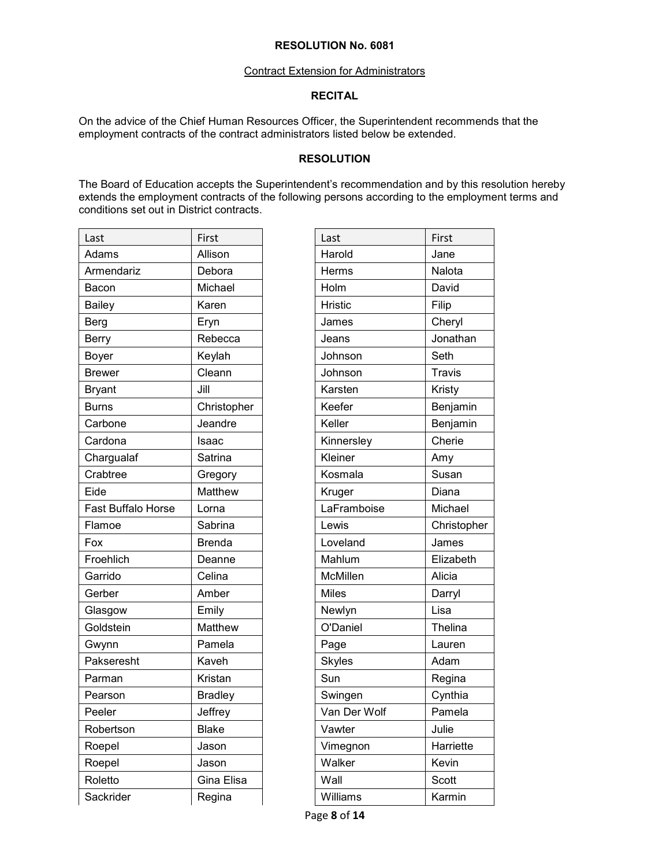#### Contract Extension for Administrators

# **RECITAL**

On the advice of the Chief Human Resources Officer, the Superintendent recommends that the employment contracts of the contract administrators listed below be extended.

# **RESOLUTION**

The Board of Education accepts the Superintendent's recommendation and by this resolution hereby extends the employment contracts of the following persons according to the employment terms and conditions set out in District contracts.

| First<br>Last<br>Last<br>Allison<br>Harold<br>Adams<br>Armendariz<br>Debora<br>Herms<br>Michael<br>Holm<br>Bacon<br>Karen<br><b>Hristic</b><br><b>Bailey</b><br><b>Berg</b><br>Eryn<br>James<br>Rebecca<br><b>Berry</b><br>Jeans<br>Keylah<br>Johnson<br>Boyer<br>Cleann<br><b>Brewer</b><br>Johnson<br>Karsten<br>Jill<br><b>Bryant</b><br>Keefer<br><b>Burns</b><br>Christopher<br>Keller<br>Jeandre<br>Carbone<br>Cardona<br>Isaac<br>Kinnersley<br>Kleiner<br>Chargualaf<br>Satrina<br>Crabtree<br>Kosmala<br>Gregory<br>Matthew<br>Eide<br>Kruger<br>Fast Buffalo Horse<br>LaFramboise<br>Lorna<br>Lewis<br>Flamoe<br>Sabrina<br>Loveland<br>Fox<br><b>Brenda</b><br>Froehlich<br>Mahlum<br>Deanne<br>Garrido<br>Celina<br>McMillen<br>Amber<br><b>Miles</b><br>Gerber<br>Emily<br>Newlyn<br>Glasgow<br>Matthew<br>O'Daniel<br>Goldstein<br>Pamela<br>Page<br>Gwynn<br>Pakseresht<br>Kaveh<br><b>Skyles</b><br>Sun<br>Kristan<br>Parman<br><b>Bradley</b><br>Swingen<br>Pearson<br>Jeffrey<br>Van Der Wolf<br>Peeler<br>Vawter<br>Robertson<br><b>Blake</b><br>Vimegnon<br>Roepel<br>Jason<br>Roepel<br>Walker<br>Jason<br>Roletto<br>Gina Elisa<br>Wall<br>Sackrider<br>Regina<br>Williams |  |  |               |
|--------------------------------------------------------------------------------------------------------------------------------------------------------------------------------------------------------------------------------------------------------------------------------------------------------------------------------------------------------------------------------------------------------------------------------------------------------------------------------------------------------------------------------------------------------------------------------------------------------------------------------------------------------------------------------------------------------------------------------------------------------------------------------------------------------------------------------------------------------------------------------------------------------------------------------------------------------------------------------------------------------------------------------------------------------------------------------------------------------------------------------------------------------------------------------------------------|--|--|---------------|
|                                                                                                                                                                                                                                                                                                                                                                                                                                                                                                                                                                                                                                                                                                                                                                                                                                                                                                                                                                                                                                                                                                                                                                                                  |  |  | First         |
|                                                                                                                                                                                                                                                                                                                                                                                                                                                                                                                                                                                                                                                                                                                                                                                                                                                                                                                                                                                                                                                                                                                                                                                                  |  |  | Jane          |
|                                                                                                                                                                                                                                                                                                                                                                                                                                                                                                                                                                                                                                                                                                                                                                                                                                                                                                                                                                                                                                                                                                                                                                                                  |  |  | Nalota        |
|                                                                                                                                                                                                                                                                                                                                                                                                                                                                                                                                                                                                                                                                                                                                                                                                                                                                                                                                                                                                                                                                                                                                                                                                  |  |  | David         |
|                                                                                                                                                                                                                                                                                                                                                                                                                                                                                                                                                                                                                                                                                                                                                                                                                                                                                                                                                                                                                                                                                                                                                                                                  |  |  | Filip         |
|                                                                                                                                                                                                                                                                                                                                                                                                                                                                                                                                                                                                                                                                                                                                                                                                                                                                                                                                                                                                                                                                                                                                                                                                  |  |  | Cheryl        |
|                                                                                                                                                                                                                                                                                                                                                                                                                                                                                                                                                                                                                                                                                                                                                                                                                                                                                                                                                                                                                                                                                                                                                                                                  |  |  | Jonathan      |
|                                                                                                                                                                                                                                                                                                                                                                                                                                                                                                                                                                                                                                                                                                                                                                                                                                                                                                                                                                                                                                                                                                                                                                                                  |  |  | Seth          |
|                                                                                                                                                                                                                                                                                                                                                                                                                                                                                                                                                                                                                                                                                                                                                                                                                                                                                                                                                                                                                                                                                                                                                                                                  |  |  | <b>Travis</b> |
|                                                                                                                                                                                                                                                                                                                                                                                                                                                                                                                                                                                                                                                                                                                                                                                                                                                                                                                                                                                                                                                                                                                                                                                                  |  |  | Kristy        |
|                                                                                                                                                                                                                                                                                                                                                                                                                                                                                                                                                                                                                                                                                                                                                                                                                                                                                                                                                                                                                                                                                                                                                                                                  |  |  | Benjamin      |
|                                                                                                                                                                                                                                                                                                                                                                                                                                                                                                                                                                                                                                                                                                                                                                                                                                                                                                                                                                                                                                                                                                                                                                                                  |  |  | Benjamin      |
|                                                                                                                                                                                                                                                                                                                                                                                                                                                                                                                                                                                                                                                                                                                                                                                                                                                                                                                                                                                                                                                                                                                                                                                                  |  |  | Cherie        |
|                                                                                                                                                                                                                                                                                                                                                                                                                                                                                                                                                                                                                                                                                                                                                                                                                                                                                                                                                                                                                                                                                                                                                                                                  |  |  | Amy           |
|                                                                                                                                                                                                                                                                                                                                                                                                                                                                                                                                                                                                                                                                                                                                                                                                                                                                                                                                                                                                                                                                                                                                                                                                  |  |  | Susan         |
|                                                                                                                                                                                                                                                                                                                                                                                                                                                                                                                                                                                                                                                                                                                                                                                                                                                                                                                                                                                                                                                                                                                                                                                                  |  |  | Diana         |
|                                                                                                                                                                                                                                                                                                                                                                                                                                                                                                                                                                                                                                                                                                                                                                                                                                                                                                                                                                                                                                                                                                                                                                                                  |  |  | Michael       |
|                                                                                                                                                                                                                                                                                                                                                                                                                                                                                                                                                                                                                                                                                                                                                                                                                                                                                                                                                                                                                                                                                                                                                                                                  |  |  | Christopher   |
|                                                                                                                                                                                                                                                                                                                                                                                                                                                                                                                                                                                                                                                                                                                                                                                                                                                                                                                                                                                                                                                                                                                                                                                                  |  |  | James         |
|                                                                                                                                                                                                                                                                                                                                                                                                                                                                                                                                                                                                                                                                                                                                                                                                                                                                                                                                                                                                                                                                                                                                                                                                  |  |  | Elizabeth     |
|                                                                                                                                                                                                                                                                                                                                                                                                                                                                                                                                                                                                                                                                                                                                                                                                                                                                                                                                                                                                                                                                                                                                                                                                  |  |  | Alicia        |
|                                                                                                                                                                                                                                                                                                                                                                                                                                                                                                                                                                                                                                                                                                                                                                                                                                                                                                                                                                                                                                                                                                                                                                                                  |  |  | Darryl        |
|                                                                                                                                                                                                                                                                                                                                                                                                                                                                                                                                                                                                                                                                                                                                                                                                                                                                                                                                                                                                                                                                                                                                                                                                  |  |  | Lisa          |
|                                                                                                                                                                                                                                                                                                                                                                                                                                                                                                                                                                                                                                                                                                                                                                                                                                                                                                                                                                                                                                                                                                                                                                                                  |  |  | Thelina       |
|                                                                                                                                                                                                                                                                                                                                                                                                                                                                                                                                                                                                                                                                                                                                                                                                                                                                                                                                                                                                                                                                                                                                                                                                  |  |  | Lauren        |
|                                                                                                                                                                                                                                                                                                                                                                                                                                                                                                                                                                                                                                                                                                                                                                                                                                                                                                                                                                                                                                                                                                                                                                                                  |  |  | Adam          |
|                                                                                                                                                                                                                                                                                                                                                                                                                                                                                                                                                                                                                                                                                                                                                                                                                                                                                                                                                                                                                                                                                                                                                                                                  |  |  | Regina        |
|                                                                                                                                                                                                                                                                                                                                                                                                                                                                                                                                                                                                                                                                                                                                                                                                                                                                                                                                                                                                                                                                                                                                                                                                  |  |  | Cynthia       |
|                                                                                                                                                                                                                                                                                                                                                                                                                                                                                                                                                                                                                                                                                                                                                                                                                                                                                                                                                                                                                                                                                                                                                                                                  |  |  | Pamela        |
|                                                                                                                                                                                                                                                                                                                                                                                                                                                                                                                                                                                                                                                                                                                                                                                                                                                                                                                                                                                                                                                                                                                                                                                                  |  |  | Julie         |
|                                                                                                                                                                                                                                                                                                                                                                                                                                                                                                                                                                                                                                                                                                                                                                                                                                                                                                                                                                                                                                                                                                                                                                                                  |  |  | Harriette     |
|                                                                                                                                                                                                                                                                                                                                                                                                                                                                                                                                                                                                                                                                                                                                                                                                                                                                                                                                                                                                                                                                                                                                                                                                  |  |  | Kevin         |
|                                                                                                                                                                                                                                                                                                                                                                                                                                                                                                                                                                                                                                                                                                                                                                                                                                                                                                                                                                                                                                                                                                                                                                                                  |  |  | Scott         |
|                                                                                                                                                                                                                                                                                                                                                                                                                                                                                                                                                                                                                                                                                                                                                                                                                                                                                                                                                                                                                                                                                                                                                                                                  |  |  | Karmin        |

| Last            | First         |
|-----------------|---------------|
| Harold          | Jane          |
| Herms           | Nalota        |
| Holm            | David         |
| <b>Hristic</b>  | Filip         |
| James           | Cheryl        |
| Jeans           | Jonathan      |
| Johnson         | Seth          |
| Johnson         | <b>Travis</b> |
| Karsten         | Kristy        |
| Keefer          | Benjamin      |
| Keller          | Benjamin      |
| Kinnersley      | Cherie        |
| Kleiner         | Amy           |
| Kosmala         | Susan         |
| Kruger          | Diana         |
| LaFramboise     | Michael       |
| Lewis           | Christopher   |
| Loveland        | James         |
| Mahlum          | Elizabeth     |
| <b>McMillen</b> | Alicia        |
| <b>Miles</b>    | Darryl        |
| Newlyn          | Lisa          |
| O'Daniel        | Thelina       |
| Page            | Lauren        |
| Skyles          | Adam          |
| Sun             | Regina        |
| Swingen         | Cynthia       |
| Van Der Wolf    | Pamela        |
| Vawter          | Julie         |
| Vimegnon        | Harriette     |
| Walker          | Kevin         |
| Wall            | Scott         |
| Williams        | Karmin        |
|                 |               |

Page **8** of **14**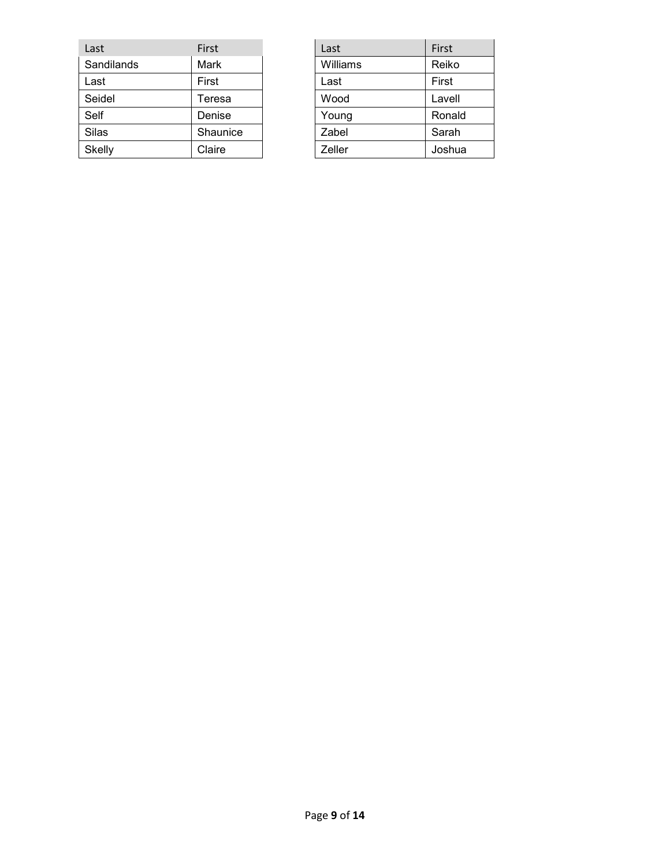| Last       | First    | Last     | First  |
|------------|----------|----------|--------|
| Sandilands | Mark     | Williams | Reiko  |
| Last       | First    | Last     | First  |
| Seidel     | Teresa   | Wood     | Lavell |
| Self       | Denise   | Young    | Ronald |
| Silas      | Shaunice | Zabel    | Sarah  |
| Skelly     | Claire   | Zeller   | Joshua |

| Last     | First  |
|----------|--------|
| Williams | Reiko  |
| Last     | First  |
| Wood     | Lavell |
| Young    | Ronald |
| Zabel    | Sarah  |
| Zeller   | Joshua |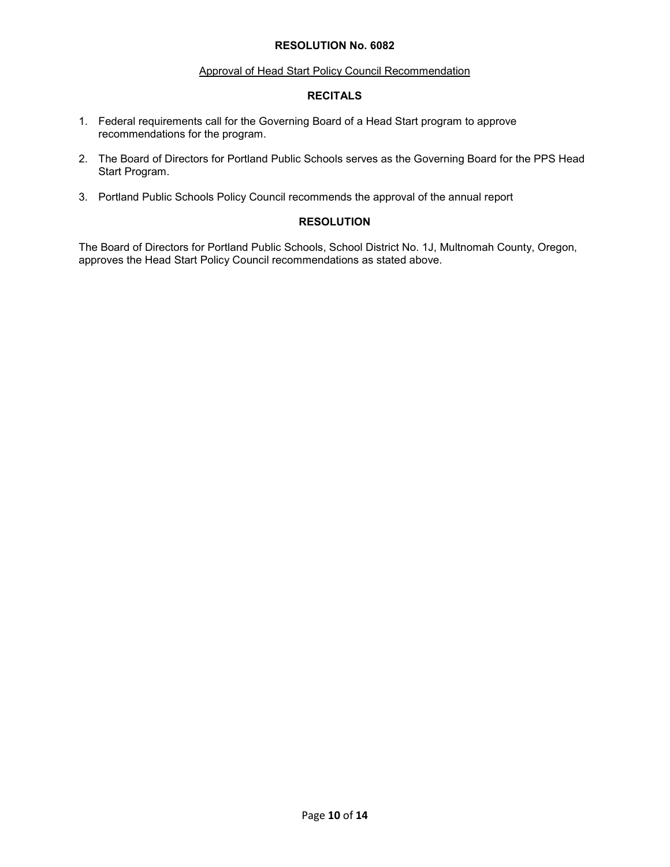#### Approval of Head Start Policy Council Recommendation

### **RECITALS**

- 1. Federal requirements call for the Governing Board of a Head Start program to approve recommendations for the program.
- 2. The Board of Directors for Portland Public Schools serves as the Governing Board for the PPS Head Start Program.
- 3. Portland Public Schools Policy Council recommends the approval of the annual report

# **RESOLUTION**

The Board of Directors for Portland Public Schools, School District No. 1J, Multnomah County, Oregon, approves the Head Start Policy Council recommendations as stated above.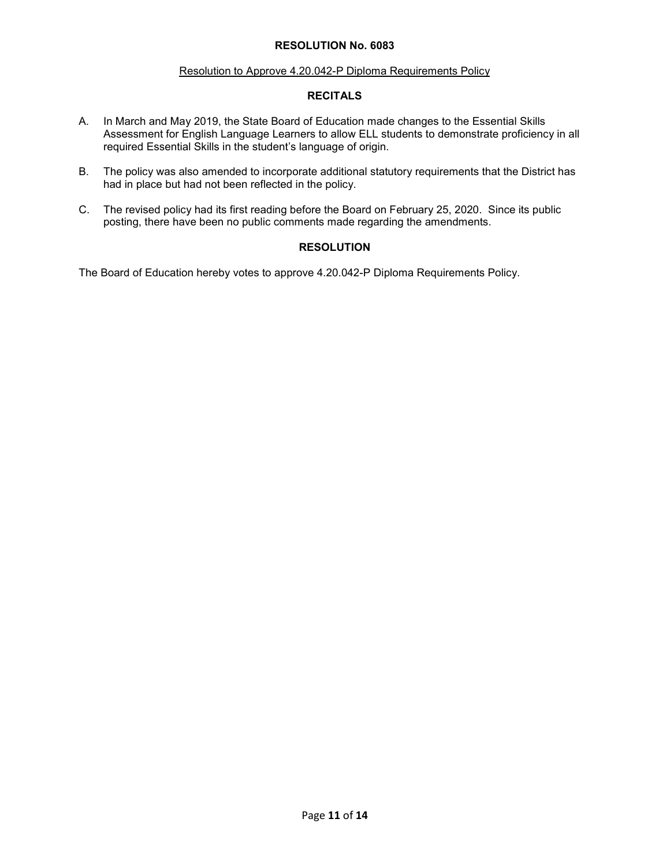#### Resolution to Approve 4.20.042-P Diploma Requirements Policy

# **RECITALS**

- A. In March and May 2019, the State Board of Education made changes to the Essential Skills Assessment for English Language Learners to allow ELL students to demonstrate proficiency in all required Essential Skills in the student's language of origin.
- B. The policy was also amended to incorporate additional statutory requirements that the District has had in place but had not been reflected in the policy.
- C. The revised policy had its first reading before the Board on February 25, 2020. Since its public posting, there have been no public comments made regarding the amendments.

# **RESOLUTION**

The Board of Education hereby votes to approve 4.20.042-P Diploma Requirements Policy.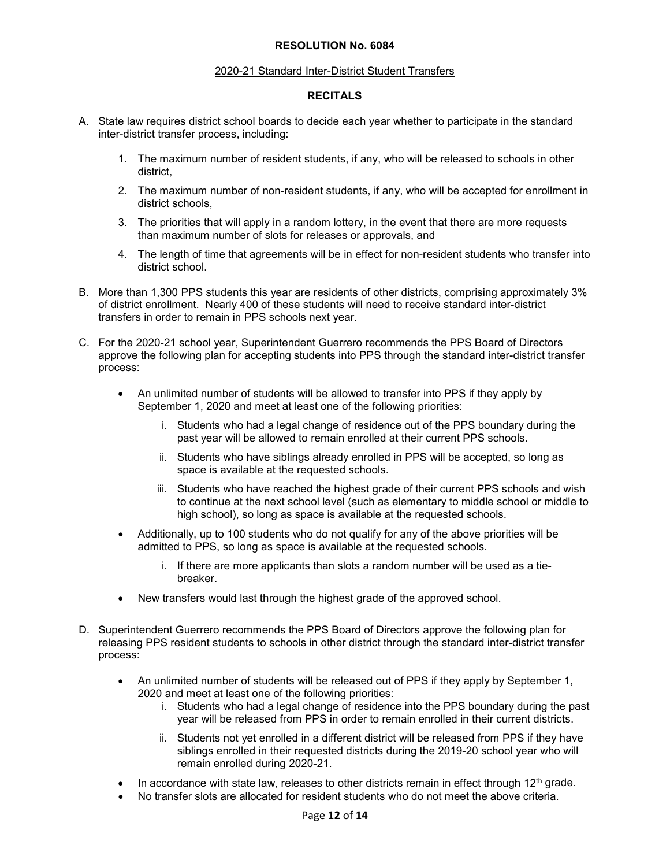#### 2020-21 Standard Inter-District Student Transfers

# **RECITALS**

- A. State law requires district school boards to decide each year whether to participate in the standard inter-district transfer process, including:
	- 1. The maximum number of resident students, if any, who will be released to schools in other district,
	- 2. The maximum number of non-resident students, if any, who will be accepted for enrollment in district schools,
	- 3. The priorities that will apply in a random lottery, in the event that there are more requests than maximum number of slots for releases or approvals, and
	- 4. The length of time that agreements will be in effect for non-resident students who transfer into district school.
- B. More than 1,300 PPS students this year are residents of other districts, comprising approximately 3% of district enrollment. Nearly 400 of these students will need to receive standard inter-district transfers in order to remain in PPS schools next year.
- C. For the 2020-21 school year, Superintendent Guerrero recommends the PPS Board of Directors approve the following plan for accepting students into PPS through the standard inter-district transfer process:
	- An unlimited number of students will be allowed to transfer into PPS if they apply by September 1, 2020 and meet at least one of the following priorities:
		- i. Students who had a legal change of residence out of the PPS boundary during the past year will be allowed to remain enrolled at their current PPS schools.
		- ii. Students who have siblings already enrolled in PPS will be accepted, so long as space is available at the requested schools.
		- iii. Students who have reached the highest grade of their current PPS schools and wish to continue at the next school level (such as elementary to middle school or middle to high school), so long as space is available at the requested schools.
	- Additionally, up to 100 students who do not qualify for any of the above priorities will be admitted to PPS, so long as space is available at the requested schools.
		- i. If there are more applicants than slots a random number will be used as a tiebreaker.
	- New transfers would last through the highest grade of the approved school.
- D. Superintendent Guerrero recommends the PPS Board of Directors approve the following plan for releasing PPS resident students to schools in other district through the standard inter-district transfer process:
	- An unlimited number of students will be released out of PPS if they apply by September 1, 2020 and meet at least one of the following priorities:
		- i. Students who had a legal change of residence into the PPS boundary during the past year will be released from PPS in order to remain enrolled in their current districts.
		- ii. Students not yet enrolled in a different district will be released from PPS if they have siblings enrolled in their requested districts during the 2019-20 school year who will remain enrolled during 2020-21.
	- In accordance with state law, releases to other districts remain in effect through  $12<sup>th</sup>$  grade.
	- No transfer slots are allocated for resident students who do not meet the above criteria.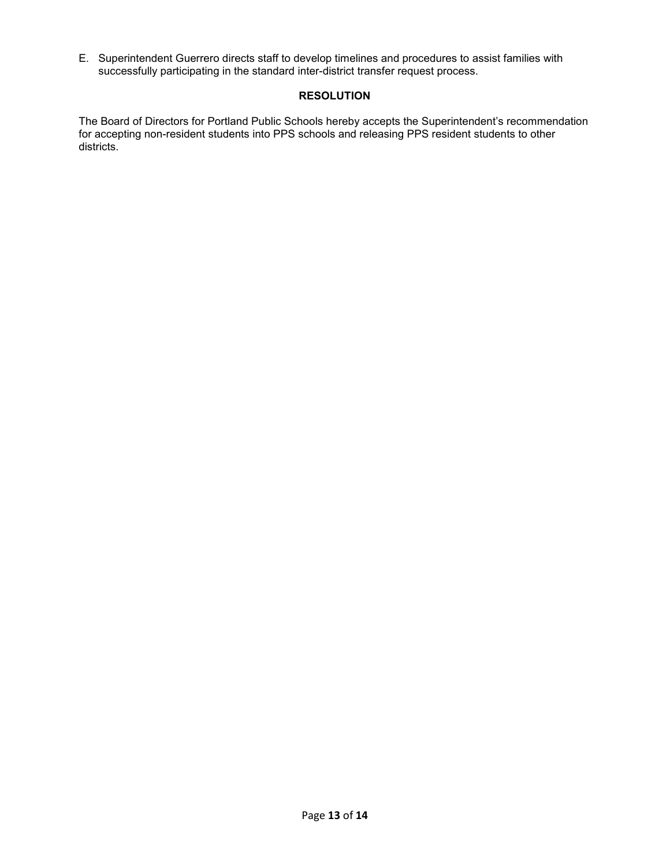E. Superintendent Guerrero directs staff to develop timelines and procedures to assist families with successfully participating in the standard inter-district transfer request process.

# **RESOLUTION**

The Board of Directors for Portland Public Schools hereby accepts the Superintendent's recommendation for accepting non-resident students into PPS schools and releasing PPS resident students to other districts.